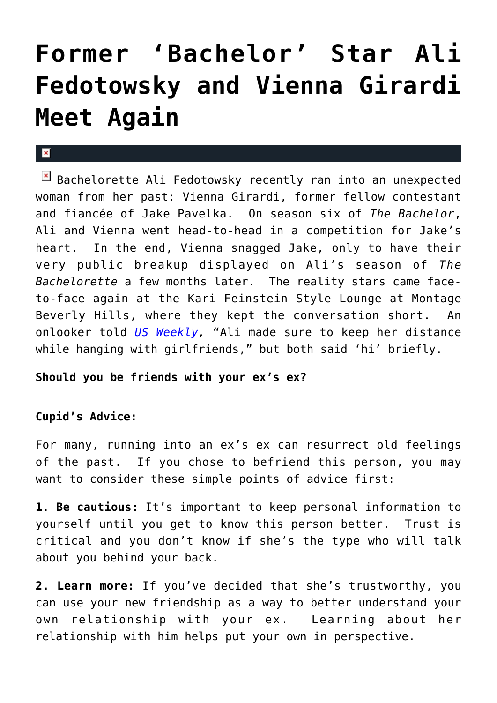## **[Former 'Bachelor' Star Ali](https://cupidspulse.com/3974/bachelorette-ali-has-awkward-run-in-with-vienna/) [Fedotowsky and Vienna Girardi](https://cupidspulse.com/3974/bachelorette-ali-has-awkward-run-in-with-vienna/) [Meet Again](https://cupidspulse.com/3974/bachelorette-ali-has-awkward-run-in-with-vienna/)**

## $\mathbf{R}$

 $\mathbb{E}$  Bachelorette Ali Fedotowsky recently ran into an unexpected woman from her past: Vienna Girardi, former fellow contestant and fiancée of Jake Pavelka. On season six of *The Bachelor*, Ali and Vienna went head-to-head in a competition for Jake's heart. In the end, Vienna snagged Jake, only to have their very public breakup displayed on Ali's season of *The Bachelorette* a few months later. The reality stars came faceto-face again at the Kari Feinstein Style Lounge at Montage Beverly Hills, where they kept the conversation short. An onlooker told *[US Weekly,](http://www.usmagazine.com/celebritynews/news/bachelorette-ali-has-awkward-run-in-with-vienna-2010278)* "Ali made sure to keep her distance while hanging with girlfriends," but both said 'hi' briefly.

## **Should you be friends with your ex's ex?**

## **Cupid's Advice:**

For many, running into an ex's ex can resurrect old feelings of the past. If you chose to befriend this person, you may want to consider these simple points of advice first:

**1. Be cautious:** It's important to keep personal information to yourself until you get to know this person better. Trust is critical and you don't know if she's the type who will talk about you behind your back.

**2. Learn more:** If you've decided that she's trustworthy, you can use your new friendship as a way to better understand your own relationship with your ex. Learning about her relationship with him helps put your own in perspective.